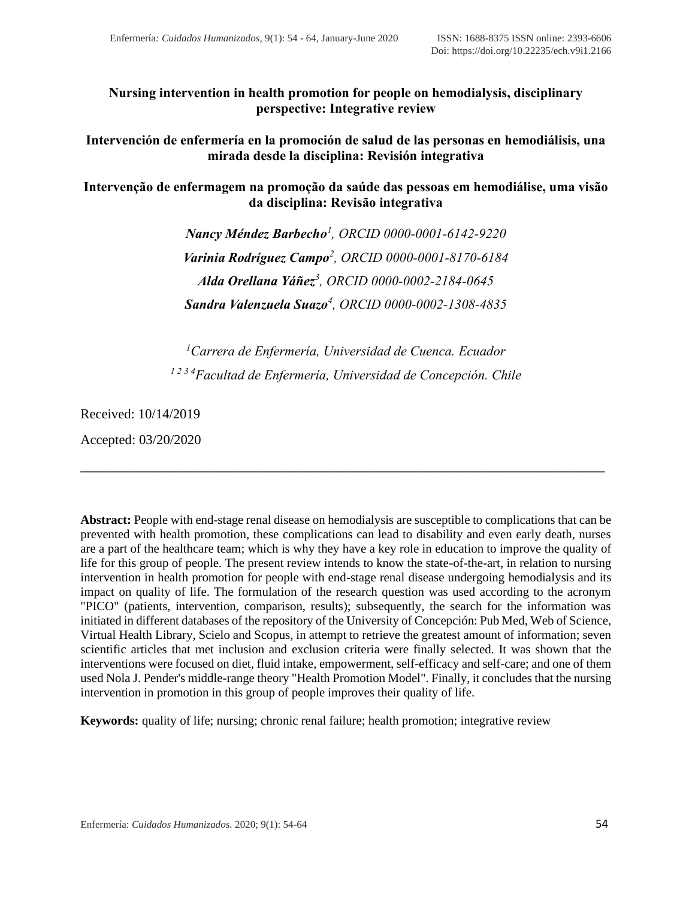**Nursing intervention in health promotion for people on hemodialysis, disciplinary perspective: Integrative review**

**Intervención de enfermería en la promoción de salud de las personas en hemodiálisis, una mirada desde la disciplina: Revisión integrativa**

**Intervenção de enfermagem na promoção da saúde das pessoas em hemodiálise, uma visão da disciplina: Revisão integrativa**

> *Nancy Méndez Barbecho<sup>1</sup> , ORCID [0000-0001-6142-9220](https://orcid.org/0000-0001-6142-9220) Varinia Rodríguez Campo<sup>2</sup> , ORCID [0000-0001-8170-6184](https://orcid.org/0000-0001-8170-6184) Alda Orellana Yáñez<sup>3</sup> , ORCID [0000-0002-2184-0645](https://orcid.org/0000-0002-2184-0645) Sandra Valenzuela Suazo<sup>4</sup> , ORCID [0000-0002-1308-4835](https://orcid.org/0000-0002-1308-4835)*

*<sup>1</sup>Carrera de Enfermería, Universidad de Cuenca. Ecuador 1 2 3 4Facultad de Enfermería, Universidad de Concepción. Chile*

**\_\_\_\_\_\_\_\_\_\_\_\_\_\_\_\_\_\_\_\_\_\_\_\_\_\_\_\_\_\_\_\_\_\_\_\_\_\_\_\_\_\_\_\_\_\_\_\_\_\_\_\_\_\_\_\_\_\_\_\_\_\_\_\_\_\_\_\_\_\_\_\_\_\_\_\_\_**

Received: 10/14/2019

Accepted: 03/20/2020

**Abstract:** People with end-stage renal disease on hemodialysis are susceptible to complications that can be prevented with health promotion, these complications can lead to disability and even early death, nurses are a part of the healthcare team; which is why they have a key role in education to improve the quality of life for this group of people. The present review intends to know the state-of-the-art, in relation to nursing intervention in health promotion for people with end-stage renal disease undergoing hemodialysis and its impact on quality of life. The formulation of the research question was used according to the acronym "PICO" (patients, intervention, comparison, results); subsequently, the search for the information was initiated in different databases of the repository of the University of Concepción: Pub Med, Web of Science, Virtual Health Library, Scielo and Scopus, in attempt to retrieve the greatest amount of information; seven scientific articles that met inclusion and exclusion criteria were finally selected. It was shown that the interventions were focused on diet, fluid intake, empowerment, self-efficacy and self-care; and one of them used Nola J. Pender's middle-range theory "Health Promotion Model". Finally, it concludes that the nursing intervention in promotion in this group of people improves their quality of life.

**Keywords:** quality of life; nursing; chronic renal failure; health promotion; integrative review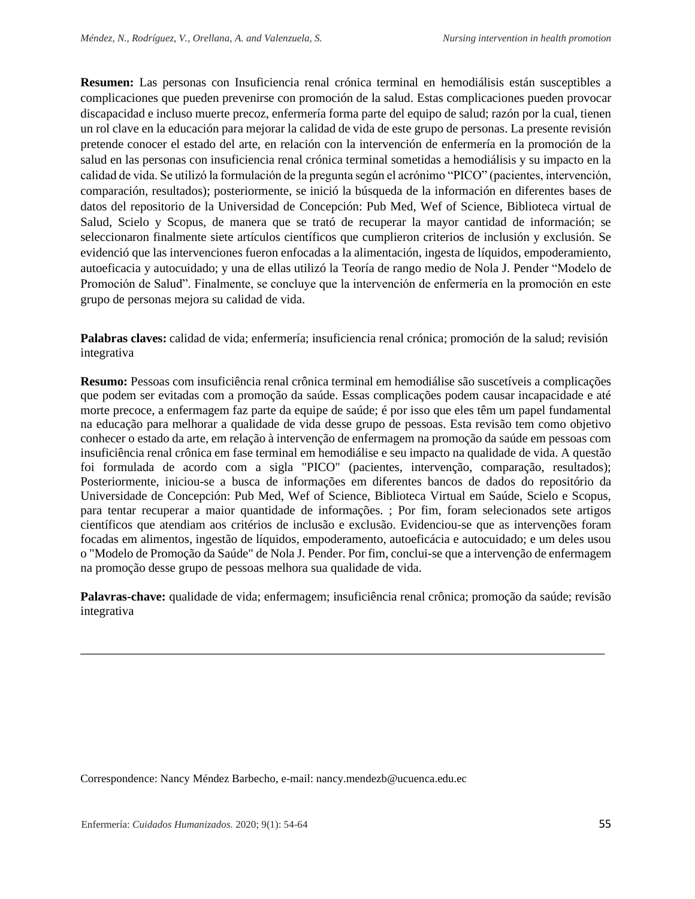**Resumen:** Las personas con Insuficiencia renal crónica terminal en hemodiálisis están susceptibles a complicaciones que pueden prevenirse con promoción de la salud. Estas complicaciones pueden provocar discapacidad e incluso muerte precoz, enfermería forma parte del equipo de salud; razón por la cual, tienen un rol clave en la educación para mejorar la calidad de vida de este grupo de personas. La presente revisión pretende conocer el estado del arte, en relación con la intervención de enfermería en la promoción de la salud en las personas con insuficiencia renal crónica terminal sometidas a hemodiálisis y su impacto en la calidad de vida. Se utilizó la formulación de la pregunta según el acrónimo "PICO" (pacientes, intervención, comparación, resultados); posteriormente, se inició la búsqueda de la información en diferentes bases de datos del repositorio de la Universidad de Concepción: Pub Med, Wef of Science, Biblioteca virtual de Salud, Scielo y Scopus, de manera que se trató de recuperar la mayor cantidad de información; se seleccionaron finalmente siete artículos científicos que cumplieron criterios de inclusión y exclusión. Se evidenció que las intervenciones fueron enfocadas a la alimentación, ingesta de líquidos, empoderamiento, autoeficacia y autocuidado; y una de ellas utilizó la Teoría de rango medio de Nola J. Pender "Modelo de Promoción de Salud". Finalmente, se concluye que la intervención de enfermería en la promoción en este grupo de personas mejora su calidad de vida.

**Palabras claves:** calidad de vida; enfermería; insuficiencia renal crónica; promoción de la salud; revisión integrativa

**Resumo:** Pessoas com insuficiência renal crônica terminal em hemodiálise são suscetíveis a complicações que podem ser evitadas com a promoção da saúde. Essas complicações podem causar incapacidade e até morte precoce, a enfermagem faz parte da equipe de saúde; é por isso que eles têm um papel fundamental na educação para melhorar a qualidade de vida desse grupo de pessoas. Esta revisão tem como objetivo conhecer o estado da arte, em relação à intervenção de enfermagem na promoção da saúde em pessoas com insuficiência renal crônica em fase terminal em hemodiálise e seu impacto na qualidade de vida. A questão foi formulada de acordo com a sigla "PICO" (pacientes, intervenção, comparação, resultados); Posteriormente, iniciou-se a busca de informações em diferentes bancos de dados do repositório da Universidade de Concepción: Pub Med, Wef of Science, Biblioteca Virtual em Saúde, Scielo e Scopus, para tentar recuperar a maior quantidade de informações. ; Por fim, foram selecionados sete artigos científicos que atendiam aos critérios de inclusão e exclusão. Evidenciou-se que as intervenções foram focadas em alimentos, ingestão de líquidos, empoderamento, autoeficácia e autocuidado; e um deles usou o "Modelo de Promoção da Saúde" de Nola J. Pender. Por fim, conclui-se que a intervenção de enfermagem na promoção desse grupo de pessoas melhora sua qualidade de vida.

**Palavras-chave:** qualidade de vida; enfermagem; insuficiência renal crônica; promoção da saúde; revisão integrativa

\_\_\_\_\_\_\_\_\_\_\_\_\_\_\_\_\_\_\_\_\_\_\_\_\_\_\_\_\_\_\_\_\_\_\_\_\_\_\_\_\_\_\_\_\_\_\_\_\_\_\_\_\_\_\_\_\_\_\_\_\_\_\_\_\_\_\_\_\_\_\_\_\_\_\_\_\_

Correspondence: Nancy Méndez Barbecho, e-mail: nancy.mendezb@ucuenca.edu.ec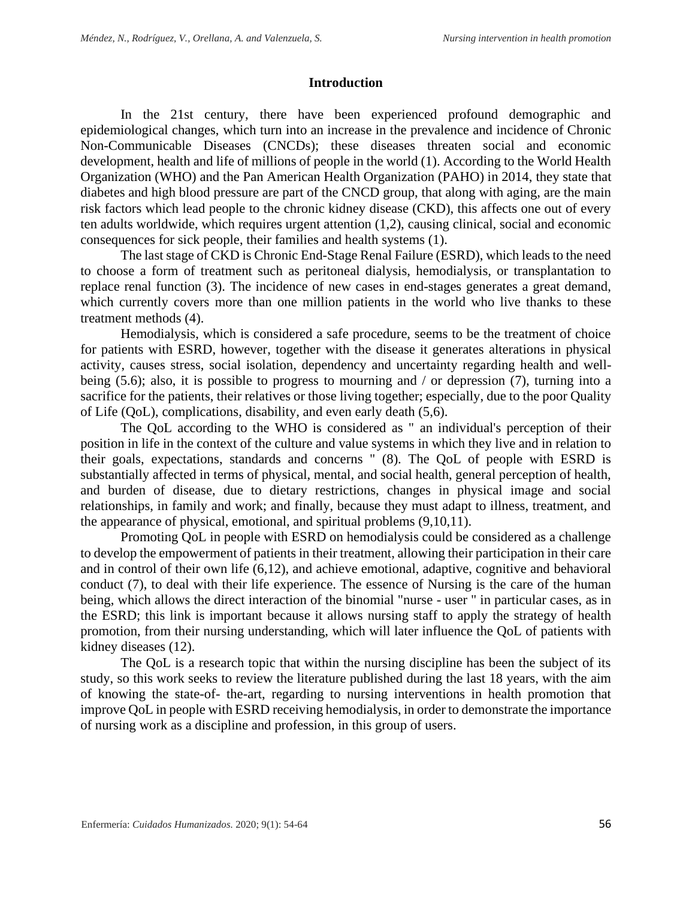## **Introduction**

In the 21st century, there have been experienced profound demographic and epidemiological changes, which turn into an increase in the prevalence and incidence of Chronic Non-Communicable Diseases (CNCDs); these diseases threaten social and economic development, health and life of millions of people in the world (1). According to the World Health Organization (WHO) and the Pan American Health Organization (PAHO) in 2014, they state that diabetes and high blood pressure are part of the CNCD group, that along with aging, are the main risk factors which lead people to the chronic kidney disease (CKD), this affects one out of every ten adults worldwide, which requires urgent attention (1,2), causing clinical, social and economic consequences for sick people, their families and health systems (1).

The last stage of CKD is Chronic End-Stage Renal Failure (ESRD), which leads to the need to choose a form of treatment such as peritoneal dialysis, hemodialysis, or transplantation to replace renal function (3). The incidence of new cases in end-stages generates a great demand, which currently covers more than one million patients in the world who live thanks to these treatment methods (4).

Hemodialysis, which is considered a safe procedure, seems to be the treatment of choice for patients with ESRD, however, together with the disease it generates alterations in physical activity, causes stress, social isolation, dependency and uncertainty regarding health and wellbeing (5.6); also, it is possible to progress to mourning and / or depression (7), turning into a sacrifice for the patients, their relatives or those living together; especially, due to the poor Quality of Life (QoL), complications, disability, and even early death (5,6).

The QoL according to the WHO is considered as " an individual's perception of their position in life in the context of the culture and value systems in which they live and in relation to their goals, expectations, standards and concerns " (8). The QoL of people with ESRD is substantially affected in terms of physical, mental, and social health, general perception of health, and burden of disease, due to dietary restrictions, changes in physical image and social relationships, in family and work; and finally, because they must adapt to illness, treatment, and the appearance of physical, emotional, and spiritual problems (9,10,11).

Promoting QoL in people with ESRD on hemodialysis could be considered as a challenge to develop the empowerment of patients in their treatment, allowing their participation in their care and in control of their own life (6,12), and achieve emotional, adaptive, cognitive and behavioral conduct (7), to deal with their life experience. The essence of Nursing is the care of the human being, which allows the direct interaction of the binomial "nurse - user " in particular cases, as in the ESRD; this link is important because it allows nursing staff to apply the strategy of health promotion, from their nursing understanding, which will later influence the QoL of patients with kidney diseases (12).

The QoL is a research topic that within the nursing discipline has been the subject of its study, so this work seeks to review the literature published during the last 18 years, with the aim of knowing the state-of- the-art, regarding to nursing interventions in health promotion that improve QoL in people with ESRD receiving hemodialysis, in order to demonstrate the importance of nursing work as a discipline and profession, in this group of users.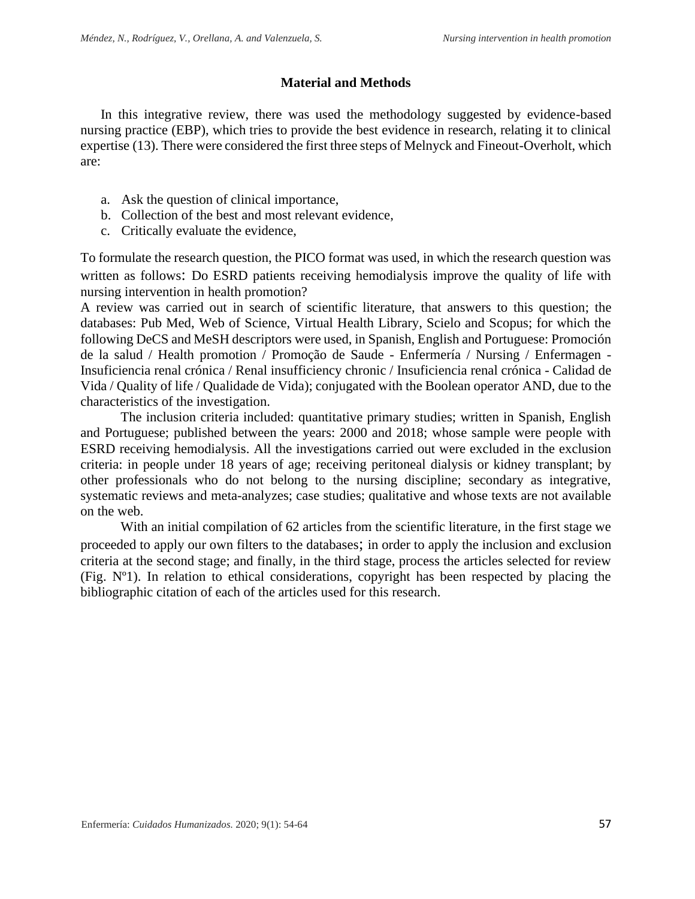# **Material and Methods**

In this integrative review, there was used the methodology suggested by evidence-based nursing practice (EBP), which tries to provide the best evidence in research, relating it to clinical expertise (13). There were considered the first three steps of Melnyck and Fineout-Overholt, which are:

- a. Ask the question of clinical importance,
- b. Collection of the best and most relevant evidence,
- c. Critically evaluate the evidence,

To formulate the research question, the PICO format was used, in which the research question was written as follows: Do ESRD patients receiving hemodialysis improve the quality of life with nursing intervention in health promotion?

A review was carried out in search of scientific literature, that answers to this question; the databases: Pub Med, Web of Science, Virtual Health Library, Scielo and Scopus; for which the following DeCS and MeSH descriptors were used, in Spanish, English and Portuguese: Promoción de la salud / Health promotion / Promoção de Saude - Enfermería / Nursing / Enfermagen - Insuficiencia renal crónica / Renal insufficiency chronic / Insuficiencia renal crónica - Calidad de Vida / Quality of life / Qualidade de Vida); conjugated with the Boolean operator AND, due to the characteristics of the investigation.

The inclusion criteria included: quantitative primary studies; written in Spanish, English and Portuguese; published between the years: 2000 and 2018; whose sample were people with ESRD receiving hemodialysis. All the investigations carried out were excluded in the exclusion criteria: in people under 18 years of age; receiving peritoneal dialysis or kidney transplant; by other professionals who do not belong to the nursing discipline; secondary as integrative, systematic reviews and meta-analyzes; case studies; qualitative and whose texts are not available on the web.

With an initial compilation of 62 articles from the scientific literature, in the first stage we proceeded to apply our own filters to the databases; in order to apply the inclusion and exclusion criteria at the second stage; and finally, in the third stage, process the articles selected for review (Fig. Nº1). In relation to ethical considerations, copyright has been respected by placing the bibliographic citation of each of the articles used for this research.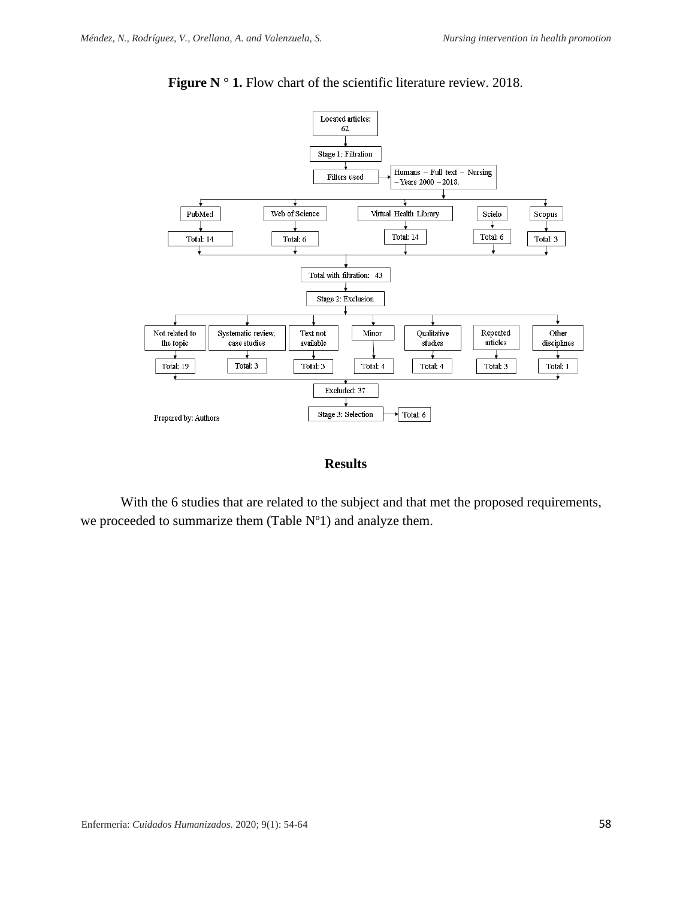

Figure N ° 1. Flow chart of the scientific literature review. 2018.

### **Results**

With the 6 studies that are related to the subject and that met the proposed requirements, we proceeded to summarize them (Table Nº1) and analyze them.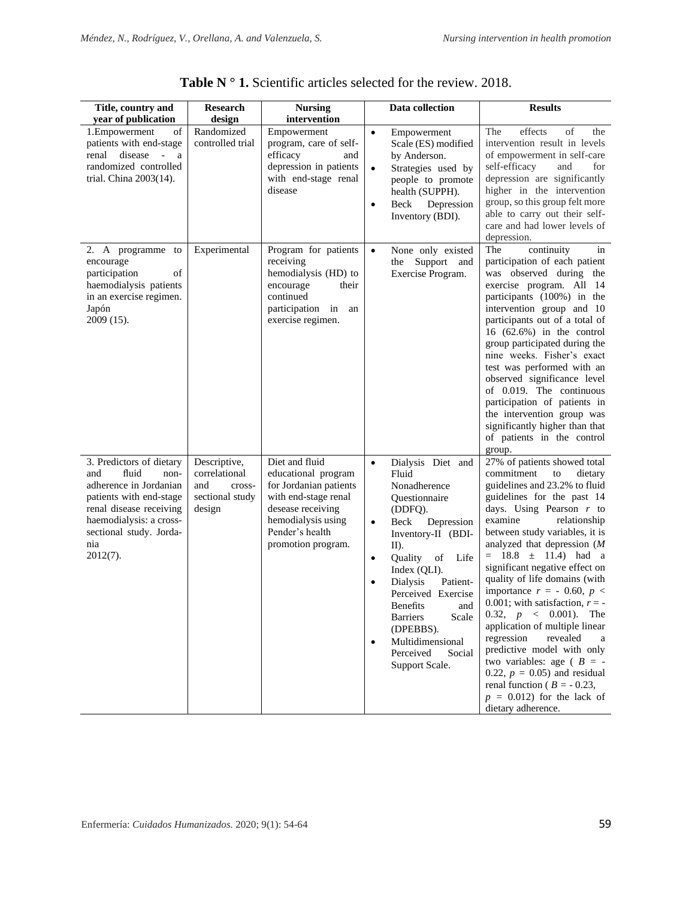| Title, country and<br>year of publication                                                                                                                                                                 | <b>Research</b><br>design                                                   | <b>Nursing</b><br>intervention                                                                                                                                              |                                                               | Data collection                                                                                                                                                                                                                                                                                                                                      | <b>Results</b>                                                                                                                                                                                                                                                                                                                                                                                                                                                                                                                                                                                                                                                                                                   |
|-----------------------------------------------------------------------------------------------------------------------------------------------------------------------------------------------------------|-----------------------------------------------------------------------------|-----------------------------------------------------------------------------------------------------------------------------------------------------------------------------|---------------------------------------------------------------|------------------------------------------------------------------------------------------------------------------------------------------------------------------------------------------------------------------------------------------------------------------------------------------------------------------------------------------------------|------------------------------------------------------------------------------------------------------------------------------------------------------------------------------------------------------------------------------------------------------------------------------------------------------------------------------------------------------------------------------------------------------------------------------------------------------------------------------------------------------------------------------------------------------------------------------------------------------------------------------------------------------------------------------------------------------------------|
| 1.Empowerment<br>οf<br>patients with end-stage<br>disease - a<br>renal<br>randomized controlled<br>trial. China 2003(14).                                                                                 | Randomized<br>controlled trial                                              | Empowerment<br>program, care of self-<br>efficacy<br>and<br>depression in patients<br>with end-stage renal<br>disease                                                       | $\bullet$<br>$\bullet$<br>$\bullet$                           | Empowerment<br>Scale (ES) modified<br>by Anderson.<br>Strategies used by<br>people to promote<br>health (SUPPH).<br>Beck<br>Depression<br>Inventory (BDI).                                                                                                                                                                                           | The<br>effects<br>οf<br>the<br>intervention result in levels<br>of empowerment in self-care<br>self-efficacy<br>and<br>for<br>depression are significantly<br>higher in the intervention<br>group, so this group felt more<br>able to carry out their self-<br>care and had lower levels of<br>depression.                                                                                                                                                                                                                                                                                                                                                                                                       |
| 2. A programme to<br>encourage<br>participation<br>οf<br>haemodialysis patients<br>in an exercise regimen.<br>Japón<br>2009 (15).                                                                         | Experimental                                                                | Program for patients<br>receiving<br>hemodialysis (HD) to<br>encourage<br>their<br>continued<br>participation in<br>an<br>exercise regimen.                                 | $\bullet$                                                     | None only existed<br>the Support and<br>Exercise Program.                                                                                                                                                                                                                                                                                            | continuity<br>The<br>in<br>participation of each patient<br>was observed during the<br>exercise program. All 14<br>participants (100%) in the<br>intervention group and 10<br>participants out of a total of<br>16 $(62.6%)$ in the control<br>group participated during the<br>nine weeks. Fisher's exact<br>test was performed with an<br>observed significance level<br>of 0.019. The continuous<br>participation of patients in<br>the intervention group was<br>significantly higher than that<br>of patients in the control<br>group.                                                                                                                                                                      |
| 3. Predictors of dietary<br>fluid<br>and<br>non-<br>adherence in Jordanian<br>patients with end-stage<br>renal disease receiving<br>haemodialysis: a cross-<br>sectional study. Jorda-<br>nia<br>2012(7). | Descriptive,<br>correlational<br>and<br>cross-<br>sectional study<br>design | Diet and fluid<br>educational program<br>for Jordanian patients<br>with end-stage renal<br>desease receiving<br>hemodialysis using<br>Pender's health<br>promotion program. | $\bullet$<br>$\bullet$<br>$\bullet$<br>$\bullet$<br>$\bullet$ | Dialysis Diet and<br>Fluid<br>Nonadherence<br>Questionnaire<br>(DDFQ).<br>Depression<br>Beck<br>Inventory-II (BDI-<br>$II$ ).<br>Quality<br>of<br>Life<br>Index (QLI).<br><b>Dialysis</b><br>Patient-<br>Perceived Exercise<br>Benefits<br>and<br><b>Barriers</b><br>Scale<br>(DPEBBS).<br>Multidimensional<br>Perceived<br>Social<br>Support Scale. | 27% of patients showed total<br>commitment<br>to<br>dietary<br>guidelines and 23.2% to fluid<br>guidelines for the past 14<br>days. Using Pearson $r$ to<br>examine<br>relationship<br>between study variables, it is<br>analyzed that depression $(M)$<br>$= 18.8 \pm 11.4$ had a<br>significant negative effect on<br>quality of life domains (with<br>importance $r = -0.60, p <$<br>0.001; with satisfaction, $r = -$<br>0.32, $p \lt 0.001$ ). The<br>application of multiple linear<br>regression<br>revealed<br>a<br>predictive model with only<br>two variables: age ( $B = -$<br>0.22, $p = 0.05$ and residual<br>renal function ( $B = -0.23$ ,<br>$p = 0.012$ ) for the lack of<br>dietary adherence. |

Table N  $\circ$  1. Scientific articles selected for the review. 2018.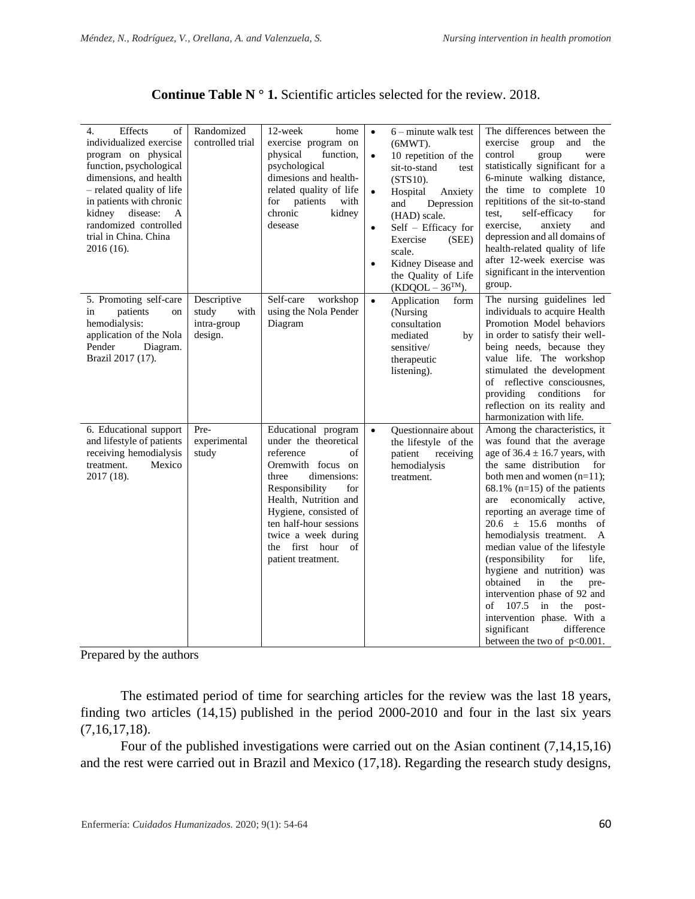| $\overline{4}$ .<br>Effects<br>of<br>individualized exercise<br>program on physical<br>function, psychological<br>dimensions, and health<br>- related quality of life<br>in patients with chronic<br>kidney disease:<br>A<br>randomized controlled<br>trial in China. China<br>2016 (16). | Randomized<br>controlled trial                         | 12-week<br>home<br>exercise program on<br>physical<br>function,<br>psychological<br>dimesions and health-<br>related quality of life<br>for patients<br>with<br>chronic<br>kidney<br>desease                                                                                              | $\bullet$<br>$\bullet$<br>$\bullet$<br>$\bullet$ | $6$ – minute walk test<br>$(6MWT)$ .<br>10 repetition of the<br>sit-to-stand<br>test<br>$(STS10)$ .<br>Hospital<br>Anxiety<br>Depression<br>and<br>(HAD) scale.<br>Self - Efficacy for<br>Exercise<br>(SEE)<br>scale.<br>Kidney Disease and<br>the Quality of Life<br>$(KDQOL - 36TM).$ | The differences between the<br>exercise group and<br>the<br>control<br>group<br>were<br>statistically significant for a<br>6-minute walking distance,<br>the time to complete 10<br>repititions of the sit-to-stand<br>test,<br>self-efficacy<br>for<br>exercise,<br>anxiety<br>and<br>depression and all domains of<br>health-related quality of life<br>after 12-week exercise was<br>significant in the intervention<br>group.                                                                                                                                                                                                     |
|-------------------------------------------------------------------------------------------------------------------------------------------------------------------------------------------------------------------------------------------------------------------------------------------|--------------------------------------------------------|-------------------------------------------------------------------------------------------------------------------------------------------------------------------------------------------------------------------------------------------------------------------------------------------|--------------------------------------------------|-----------------------------------------------------------------------------------------------------------------------------------------------------------------------------------------------------------------------------------------------------------------------------------------|---------------------------------------------------------------------------------------------------------------------------------------------------------------------------------------------------------------------------------------------------------------------------------------------------------------------------------------------------------------------------------------------------------------------------------------------------------------------------------------------------------------------------------------------------------------------------------------------------------------------------------------|
| 5. Promoting self-care<br>patients<br>in<br>on<br>hemodialysis:<br>application of the Nola<br>Pender<br>Diagram.<br>Brazil 2017 (17).                                                                                                                                                     | Descriptive<br>study<br>with<br>intra-group<br>design. | Self-care<br>workshop<br>using the Nola Pender<br>Diagram                                                                                                                                                                                                                                 | $\bullet$                                        | Application<br>form<br>(Nursing)<br>consultation<br>mediated<br>by<br>sensitive/<br>therapeutic<br>listening).                                                                                                                                                                          | The nursing guidelines led<br>individuals to acquire Health<br>Promotion Model behaviors<br>in order to satisfy their well-<br>being needs, because they<br>value life. The workshop<br>stimulated the development<br>of reflective consciousnes,<br>providing conditions<br>for<br>reflection on its reality and<br>harmonization with life.                                                                                                                                                                                                                                                                                         |
| 6. Educational support<br>and lifestyle of patients<br>receiving hemodialysis<br>treatment.<br>Mexico<br>2017 (18).                                                                                                                                                                       | Pre-<br>experimental<br>study                          | Educational program<br>under the theoretical<br>reference<br>of<br>Oremwith focus on<br>three<br>dimensions:<br>Responsibility<br>for<br>Health, Nutrition and<br>Hygiene, consisted of<br>ten half-hour sessions<br>twice a week during<br>first hour<br>the<br>of<br>patient treatment. | $\bullet$                                        | Questionnaire about<br>the lifestyle of the<br>patient<br>receiving<br>hemodialysis<br>treatment.                                                                                                                                                                                       | Among the characteristics, it<br>was found that the average<br>age of $36.4 \pm 16.7$ years, with<br>the same distribution<br>for<br>both men and women $(n=11)$ ;<br>68.1% ( $n=15$ ) of the patients<br>economically active,<br>are<br>reporting an average time of<br>$20.6 \pm 15.6$ months of<br>hemodialysis treatment.<br>$\mathbf{A}$<br>median value of the lifestyle<br>(responsibility<br>for<br>life.<br>hygiene and nutrition) was<br>obtained<br>in<br>the<br>pre-<br>intervention phase of 92 and<br>of $107.5$ in the post-<br>intervention phase. With a<br>significant<br>difference<br>between the two of p<0.001. |

| <b>Continue Table N <math>\degree</math> 1.</b> Scientific articles selected for the review. 2018. |
|----------------------------------------------------------------------------------------------------|
|----------------------------------------------------------------------------------------------------|

Prepared by the authors

The estimated period of time for searching articles for the review was the last 18 years, finding two articles (14,15) published in the period 2000-2010 and four in the last six years (7,16,17,18).

Four of the published investigations were carried out on the Asian continent (7,14,15,16) and the rest were carried out in Brazil and Mexico (17,18). Regarding the research study designs,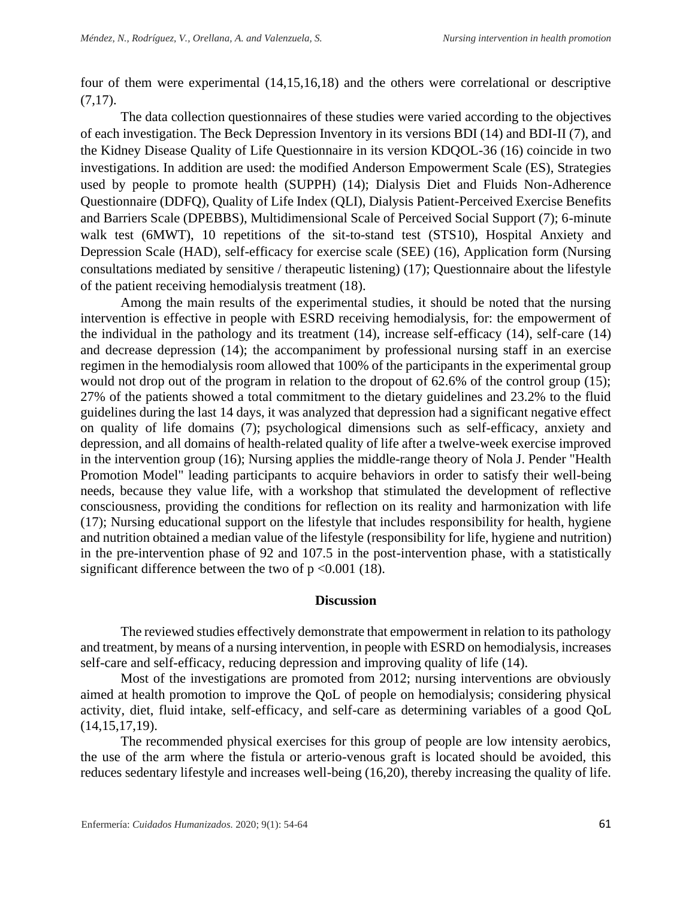four of them were experimental (14,15,16,18) and the others were correlational or descriptive  $(7,17)$ .

The data collection questionnaires of these studies were varied according to the objectives of each investigation. The Beck Depression Inventory in its versions BDI (14) and BDI-II (7), and the Kidney Disease Quality of Life Questionnaire in its version KDQOL-36 (16) coincide in two investigations. In addition are used: the modified Anderson Empowerment Scale (ES), Strategies used by people to promote health (SUPPH) (14); Dialysis Diet and Fluids Non-Adherence Questionnaire (DDFQ), Quality of Life Index (QLI), Dialysis Patient-Perceived Exercise Benefits and Barriers Scale (DPEBBS), Multidimensional Scale of Perceived Social Support (7); 6-minute walk test (6MWT), 10 repetitions of the sit-to-stand test (STS10), Hospital Anxiety and Depression Scale (HAD), self-efficacy for exercise scale (SEE) (16), Application form (Nursing consultations mediated by sensitive / therapeutic listening) (17); Questionnaire about the lifestyle of the patient receiving hemodialysis treatment (18).

Among the main results of the experimental studies, it should be noted that the nursing intervention is effective in people with ESRD receiving hemodialysis, for: the empowerment of the individual in the pathology and its treatment (14), increase self-efficacy (14), self-care (14) and decrease depression (14); the accompaniment by professional nursing staff in an exercise regimen in the hemodialysis room allowed that 100% of the participants in the experimental group would not drop out of the program in relation to the dropout of 62.6% of the control group (15); 27% of the patients showed a total commitment to the dietary guidelines and 23.2% to the fluid guidelines during the last 14 days, it was analyzed that depression had a significant negative effect on quality of life domains (7); psychological dimensions such as self-efficacy, anxiety and depression, and all domains of health-related quality of life after a twelve-week exercise improved in the intervention group (16); Nursing applies the middle-range theory of Nola J. Pender "Health Promotion Model" leading participants to acquire behaviors in order to satisfy their well-being needs, because they value life, with a workshop that stimulated the development of reflective consciousness, providing the conditions for reflection on its reality and harmonization with life (17); Nursing educational support on the lifestyle that includes responsibility for health, hygiene and nutrition obtained a median value of the lifestyle (responsibility for life, hygiene and nutrition) in the pre-intervention phase of 92 and 107.5 in the post-intervention phase, with a statistically significant difference between the two of  $p \le 0.001$  (18).

#### **Discussion**

The reviewed studies effectively demonstrate that empowerment in relation to its pathology and treatment, by means of a nursing intervention, in people with ESRD on hemodialysis, increases self-care and self-efficacy, reducing depression and improving quality of life (14).

Most of the investigations are promoted from 2012; nursing interventions are obviously aimed at health promotion to improve the QoL of people on hemodialysis; considering physical activity, diet, fluid intake, self-efficacy, and self-care as determining variables of a good QoL (14,15,17,19).

The recommended physical exercises for this group of people are low intensity aerobics, the use of the arm where the fistula or arterio-venous graft is located should be avoided, this reduces sedentary lifestyle and increases well-being (16,20), thereby increasing the quality of life.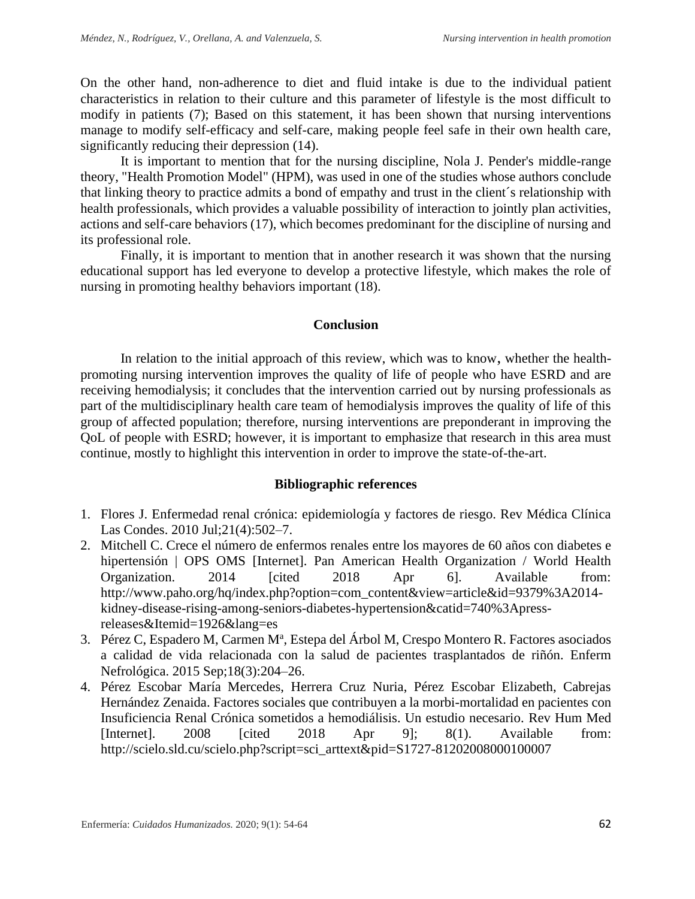On the other hand, non-adherence to diet and fluid intake is due to the individual patient characteristics in relation to their culture and this parameter of lifestyle is the most difficult to modify in patients (7); Based on this statement, it has been shown that nursing interventions manage to modify self-efficacy and self-care, making people feel safe in their own health care, significantly reducing their depression (14).

It is important to mention that for the nursing discipline, Nola J. Pender's middle-range theory, "Health Promotion Model" (HPM), was used in one of the studies whose authors conclude that linking theory to practice admits a bond of empathy and trust in the client´s relationship with health professionals, which provides a valuable possibility of interaction to jointly plan activities, actions and self-care behaviors (17), which becomes predominant for the discipline of nursing and its professional role.

Finally, it is important to mention that in another research it was shown that the nursing educational support has led everyone to develop a protective lifestyle, which makes the role of nursing in promoting healthy behaviors important (18).

## **Conclusion**

In relation to the initial approach of this review, which was to know, whether the healthpromoting nursing intervention improves the quality of life of people who have ESRD and are receiving hemodialysis; it concludes that the intervention carried out by nursing professionals as part of the multidisciplinary health care team of hemodialysis improves the quality of life of this group of affected population; therefore, nursing interventions are preponderant in improving the QoL of people with ESRD; however, it is important to emphasize that research in this area must continue, mostly to highlight this intervention in order to improve the state-of-the-art.

## **Bibliographic references**

- 1. Flores J. Enfermedad renal crónica: epidemiología y factores de riesgo. Rev Médica Clínica Las Condes. 2010 Jul;21(4):502–7.
- 2. Mitchell C. Crece el número de enfermos renales entre los mayores de 60 años con diabetes e hipertensión | OPS OMS [Internet]. Pan American Health Organization / World Health Organization. 2014 [cited 2018 Apr 6]. Available from: http://www.paho.org/hq/index.php?option=com\_content&view=article&id=9379%3A2014 kidney-disease-rising-among-seniors-diabetes-hypertension&catid=740%3Apressreleases&Itemid=1926&lang=es
- 3. Pérez C, Espadero M, Carmen M<sup>a</sup>, Estepa del Árbol M, Crespo Montero R. Factores asociados a calidad de vida relacionada con la salud de pacientes trasplantados de riñón. Enferm Nefrológica. 2015 Sep;18(3):204–26.
- 4. Pérez Escobar María Mercedes, Herrera Cruz Nuria, Pérez Escobar Elizabeth, Cabrejas Hernández Zenaida. Factores sociales que contribuyen a la morbi-mortalidad en pacientes con Insuficiencia Renal Crónica sometidos a hemodiálisis. Un estudio necesario. Rev Hum Med [Internet]. 2008 [cited 2018 Apr 9]; 8(1). Available from: http://scielo.sld.cu/scielo.php?script=sci\_arttext&pid=S1727-81202008000100007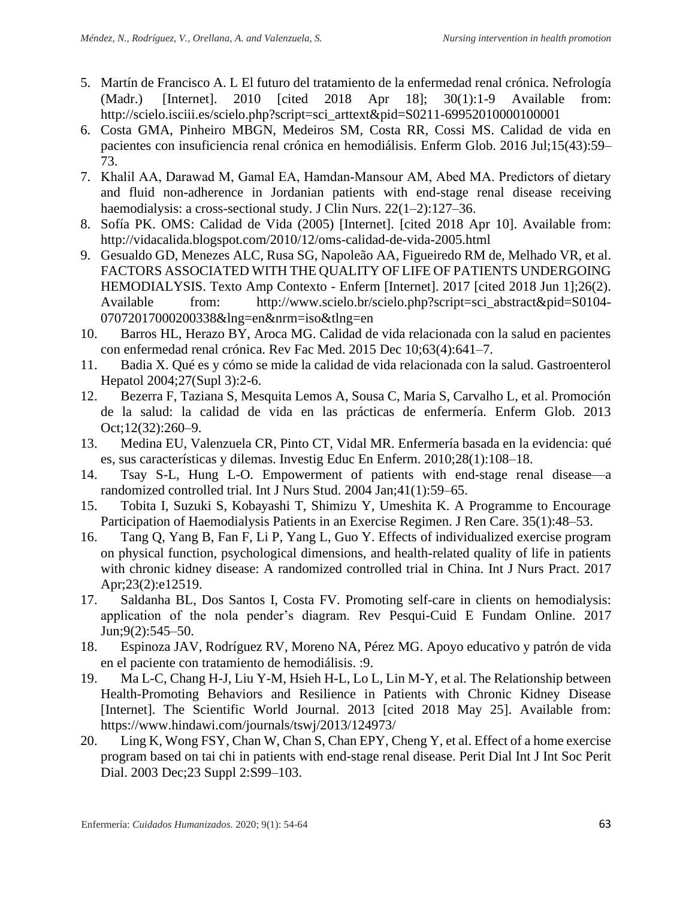- 5. Martín de Francisco A. L El futuro del tratamiento de la enfermedad renal crónica. Nefrología (Madr.) [Internet]. 2010 [cited 2018 Apr 18]; 30(1):1-9 Available from: http://scielo.isciii.es/scielo.php?script=sci\_arttext&pid=S0211-69952010000100001
- 6. Costa GMA, Pinheiro MBGN, Medeiros SM, Costa RR, Cossi MS. Calidad de vida en pacientes con insuficiencia renal crónica en hemodiálisis. Enferm Glob. 2016 Jul;15(43):59– 73.
- 7. Khalil AA, Darawad M, Gamal EA, Hamdan‐Mansour AM, Abed MA. Predictors of dietary and fluid non-adherence in Jordanian patients with end-stage renal disease receiving haemodialysis: a cross-sectional study. J Clin Nurs. 22(1–2):127–36.
- 8. Sofía PK. OMS: Calidad de Vida (2005) [Internet]. [cited 2018 Apr 10]. Available from: http://vidacalida.blogspot.com/2010/12/oms-calidad-de-vida-2005.html
- 9. Gesualdo GD, Menezes ALC, Rusa SG, Napoleão AA, Figueiredo RM de, Melhado VR, et al. FACTORS ASSOCIATED WITH THE QUALITY OF LIFE OF PATIENTS UNDERGOING HEMODIALYSIS. Texto Amp Contexto - Enferm [Internet]. 2017 [cited 2018 Jun 1];26(2). Available from: http://www.scielo.br/scielo.php?script=sci\_abstract&pid=S0104- 07072017000200338&lng=en&nrm=iso&tlng=en
- 10. Barros HL, Herazo BY, Aroca MG. Calidad de vida relacionada con la salud en pacientes con enfermedad renal crónica. Rev Fac Med. 2015 Dec 10;63(4):641–7.
- 11. Badia X. Qué es y cómo se mide la calidad de vida relacionada con la salud. Gastroenterol Hepatol 2004;27(Supl 3):2-6.
- 12. Bezerra F, Taziana S, Mesquita Lemos A, Sousa C, Maria S, Carvalho L, et al. Promoción de la salud: la calidad de vida en las prácticas de enfermería. Enferm Glob. 2013 Oct;12(32):260–9.
- 13. Medina EU, Valenzuela CR, Pinto CT, Vidal MR. Enfermería basada en la evidencia: qué es, sus características y dilemas. Investig Educ En Enferm. 2010;28(1):108–18.
- 14. Tsay S-L, Hung L-O. Empowerment of patients with end-stage renal disease—a randomized controlled trial. Int J Nurs Stud. 2004 Jan;41(1):59–65.
- 15. Tobita I, Suzuki S, Kobayashi T, Shimizu Y, Umeshita K. A Programme to Encourage Participation of Haemodialysis Patients in an Exercise Regimen. J Ren Care. 35(1):48–53.
- 16. Tang Q, Yang B, Fan F, Li P, Yang L, Guo Y. Effects of individualized exercise program on physical function, psychological dimensions, and health-related quality of life in patients with chronic kidney disease: A randomized controlled trial in China. Int J Nurs Pract. 2017 Apr;23(2):e12519.
- 17. Saldanha BL, Dos Santos I, Costa FV. Promoting self-care in clients on hemodialysis: application of the nola pender's diagram. Rev Pesqui-Cuid E Fundam Online. 2017 Jun;9(2):545–50.
- 18. Espinoza JAV, Rodríguez RV, Moreno NA, Pérez MG. Apoyo educativo y patrón de vida en el paciente con tratamiento de hemodiálisis. :9.
- 19. Ma L-C, Chang H-J, Liu Y-M, Hsieh H-L, Lo L, Lin M-Y, et al. The Relationship between Health-Promoting Behaviors and Resilience in Patients with Chronic Kidney Disease [Internet]. The Scientific World Journal. 2013 [cited 2018 May 25]. Available from: https://www.hindawi.com/journals/tswj/2013/124973/
- 20. Ling K, Wong FSY, Chan W, Chan S, Chan EPY, Cheng Y, et al. Effect of a home exercise program based on tai chi in patients with end-stage renal disease. Perit Dial Int J Int Soc Perit Dial. 2003 Dec;23 Suppl 2:S99–103.